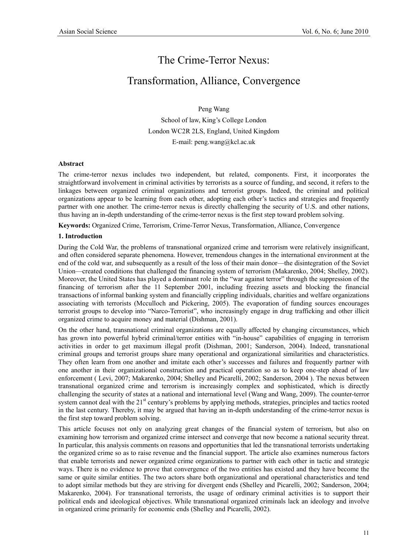# The Crime-Terror Nexus:

# Transformation, Alliance, Convergence

Peng Wang School of law, King's College London London WC2R 2LS, England, United Kingdom E-mail: peng.wang@kcl.ac.uk

#### **Abstract**

The crime-terror nexus includes two independent, but related, components. First, it incorporates the straightforward involvement in criminal activities by terrorists as a source of funding, and second, it refers to the linkages between organized criminal organizations and terrorist groups. Indeed, the criminal and political organizations appear to be learning from each other, adopting each other's tactics and strategies and frequently partner with one another. The crime-terror nexus is directly challenging the security of U.S. and other nations, thus having an in-depth understanding of the crime-terror nexus is the first step toward problem solving.

**Keywords:** Organized Crime, Terrorism, Crime-Terror Nexus, Transformation, Alliance, Convergence

#### **1. Introduction**

During the Cold War, the problems of transnational organized crime and terrorism were relatively insignificant, and often considered separate phenomena. However, tremendous changes in the international environment at the end of the cold war, and subsequently as a result of the loss of their main donor—the disintegration of the Soviet Union—created conditions that challenged the financing system of terrorism (Makarenko, 2004; Shelley, 2002). Moreover, the United States has played a dominant role in the "war against terror" through the suppression of the financing of terrorism after the 11 September 2001, including freezing assets and blocking the financial transactions of informal banking system and financially crippling individuals, charities and welfare organizations associating with terrorists (Mcculloch and Pickering, 2005). The evaporation of funding sources encourages terrorist groups to develop into "Narco-Terrorist", who increasingly engage in drug trafficking and other illicit organized crime to acquire money and material (Dishman, 2001).

On the other hand, transnational criminal organizations are equally affected by changing circumstances, which has grown into powerful hybrid criminal/terror entities with "in-house" capabilities of engaging in terrorism activities in order to get maximum illegal profit (Dishman, 2001; Sanderson, 2004). Indeed, transnational criminal groups and terrorist groups share many operational and organizational similarities and characteristics. They often learn from one another and imitate each other's successes and failures and frequently partner with one another in their organizational construction and practical operation so as to keep one-step ahead of law enforcement ( Levi, 2007; Makarenko, 2004; Shelley and Picarelli, 2002; Sanderson, 2004 ). The nexus between transnational organized crime and terrorism is increasingly complex and sophisticated, which is directly challenging the security of states at a national and international level (Wang and Wang, 2009). The counter-terror system cannot deal with the 21<sup>st</sup> century's problems by applying methods, strategies, principles and tactics rooted in the last century. Thereby, it may be argued that having an in-depth understanding of the crime-terror nexus is the first step toward problem solving.

This article focuses not only on analyzing great changes of the financial system of terrorism, but also on examining how terrorism and organized crime intersect and converge that now become a national security threat. In particular, this analysis comments on reasons and opportunities that led the transnational terrorists undertaking the organized crime so as to raise revenue and the financial support. The article also examines numerous factors that enable terrorists and newer organized crime organizations to partner with each other in tactic and strategic ways. There is no evidence to prove that convergence of the two entities has existed and they have become the same or quite similar entities. The two actors share both organizational and operational characteristics and tend to adopt similar methods but they are striving for divergent ends (Shelley and Picarelli, 2002; Sanderson, 2004; Makarenko, 2004). For transnational terrorists, the usage of ordinary criminal activities is to support their political ends and ideological objectives. While transnational organized criminals lack an ideology and involve in organized crime primarily for economic ends (Shelley and Picarelli, 2002).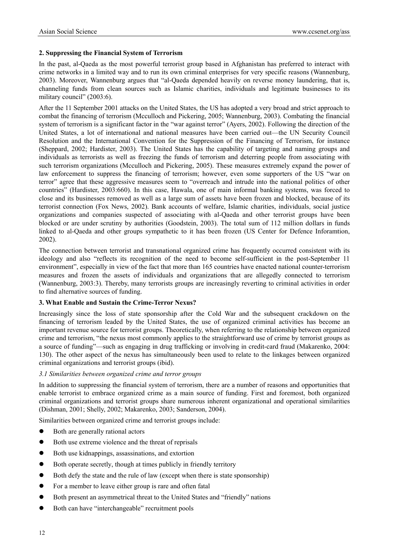# **2. Suppressing the Financial System of Terrorism**

In the past, al-Qaeda as the most powerful terrorist group based in Afghanistan has preferred to interact with crime networks in a limited way and to run its own criminal enterprises for very specific reasons (Wannenburg, 2003). Moreover, Wannenburg argues that "al-Qaeda depended heavily on reverse money laundering, that is, channeling funds from clean sources such as Islamic charities, individuals and legitimate businesses to its military council" (2003:6).

After the 11 September 2001 attacks on the United States, the US has adopted a very broad and strict approach to combat the financing of terrorism (Mcculloch and Pickering, 2005; Wannenburg, 2003). Combating the financial system of terrorism is a significant factor in the "war against terror" (Ayers, 2002). Following the direction of the United States, a lot of international and national measures have been carried out—the UN Security Council Resolution and the International Convention for the Suppression of the Financing of Terrorism, for instance (Sheppard, 2002; Hardister, 2003). The United States has the capability of targeting and naming groups and individuals as terrorists as well as freezing the funds of terrorism and deterring people from associating with such terrorism organizations (Mcculloch and Pickering, 2005). These measures extremely expand the power of law enforcement to suppress the financing of terrorism; however, even some supporters of the US "war on terror" agree that these aggressive measures seem to "overreach and intrude into the national politics of other countries" (Hardister, 2003:660). In this case, Hawala, one of main informal banking systems, was forced to close and its businesses removed as well as a large sum of assets have been frozen and blocked, because of its terrorist connection (Fox News, 2002). Bank accounts of welfare, Islamic charities, individuals, social justice organizations and companies suspected of associating with al-Qaeda and other terrorist groups have been blocked or are under scrutiny by authorities (Goodstein, 2003). The total sum of 112 million dollars in funds linked to al-Qaeda and other groups sympathetic to it has been frozen (US Center for Defence Inforamtion, 2002).

The connection between terrorist and transnational organized crime has frequently occurred consistent with its ideology and also "reflects its recognition of the need to become self-sufficient in the post-September 11 environment", especially in view of the fact that more than 165 countries have enacted national counter-terrorism measures and frozen the assets of individuals and organizations that are allegedly connected to terrorism (Wannenburg, 2003:3). Thereby, many terrorists groups are increasingly reverting to criminal activities in order to find alternative sources of funding.

# **3. What Enable and Sustain the Crime-Terror Nexus?**

Increasingly since the loss of state sponsorship after the Cold War and the subsequent crackdown on the financing of terrorism leaded by the United States, the use of organized criminal activities has become an important revenue source for terrorist groups. Theoretically, when referring to the relationship between organized crime and terrorism, "the nexus most commonly applies to the straightforward use of crime by terrorist groups as a source of funding"—such as engaging in drug trafficking or involving in credit-card fraud (Makarenko, 2004: 130). The other aspect of the nexus has simultaneously been used to relate to the linkages between organized criminal organizations and terrorist groups (ibid).

#### *3.1 Similarities between organized crime and terror groups*

In addition to suppressing the financial system of terrorism, there are a number of reasons and opportunities that enable terrorist to embrace organized crime as a main source of funding. First and foremost, both organized criminal organizations and terrorist groups share numerous inherent organizational and operational similarities (Dishman, 2001; Shelly, 2002; Makarenko, 2003; Sanderson, 2004).

Similarities between organized crime and terrorist groups include:

- Both are generally rational actors
- $\bullet$  Both use extreme violence and the threat of reprisals
- Both use kidnappings, assassinations, and extortion
- Both operate secretly, though at times publicly in friendly territory
- Both defy the state and the rule of law (except when there is state sponsorship)
- For a member to leave either group is rare and often fatal
- Both present an asymmetrical threat to the United States and "friendly" nations
- Both can have "interchangeable" recruitment pools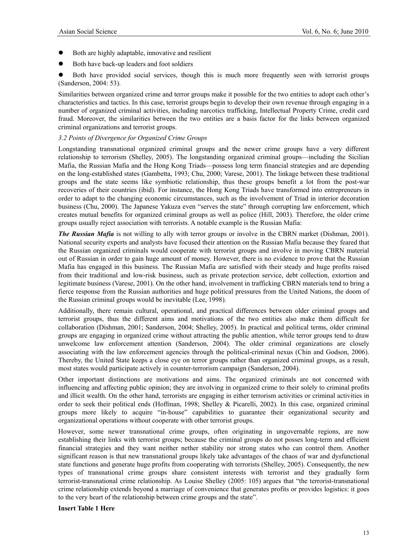- Both are highly adaptable, innovative and resilient
- Both have back-up leaders and foot soldiers

Both have provided social services, though this is much more frequently seen with terrorist groups (Sanderson, 2004: 53).

Similarities between organized crime and terror groups make it possible for the two entities to adopt each other's characteristics and tactics. In this case, terrorist groups begin to develop their own revenue through engaging in a number of organized criminal activities, including narcotics trafficking, Intellectual Property Crime, credit card fraud. Moreover, the similarities between the two entities are a basis factor for the links between organized criminal organizations and terrorist groups.

#### *3.2 Points of Divergence for Organized Crime Groups*

Longstanding transnational organized criminal groups and the newer crime groups have a very different relationship to terrorism (Shelley, 2005). The longstanding organized criminal groups—including the Sicilian Mafia, the Russian Mafia and the Hong Kong Triads—possess long term financial strategies and are depending on the long-established states (Gambetta, 1993; Chu, 2000; Varese, 2001). The linkage between these traditional groups and the state seems like symbiotic relationship, thus these groups benefit a lot from the post-war recoveries of their countries (ibid). For instance, the Hong Kong Triads have transformed into entrepreneurs in order to adapt to the changing economic circumstances, such as the involvement of Triad in interior decoration business (Chu, 2000). The Japanese Yakuza even "serves the state" through corrupting law enforcement, which creates mutual benefits for organized criminal groups as well as police (Hill, 2003). Therefore, the older crime groups usually reject association with terrorists. A notable example is the Russian Mafia:

*The Russian Mafia* is not willing to ally with terror groups or involve in the CBRN market (Dishman, 2001). National security experts and analysts have focused their attention on the Russian Mafia because they feared that the Russian organized criminals would cooperate with terrorist groups and involve in moving CBRN material out of Russian in order to gain huge amount of money. However, there is no evidence to prove that the Russian Mafia has engaged in this business. The Russian Mafia are satisfied with their steady and huge profits raised from their traditional and low-risk business, such as private protection service, debt collection, extortion and legitimate business (Varese, 2001). On the other hand, involvement in trafficking CBRN materials tend to bring a fierce response from the Russian authorities and huge political pressures from the United Nations, the doom of the Russian criminal groups would be inevitable (Lee, 1998).

Additionally, there remain cultural, operational, and practical differences between older criminal groups and terrorist groups, thus the different aims and motivations of the two entities also make them difficult for collaboration (Dishman, 2001; Sanderson, 2004; Shelley, 2005). In practical and political terms, older criminal groups are engaging in organized crime without attracting the public attention, while terror groups tend to draw unwelcome law enforcement attention (Sanderson, 2004). The older criminal organizations are closely associating with the law enforcement agencies through the political-criminal nexus (Chin and Godson, 2006). Thereby, the United State keeps a close eye on terror groups rather than organized criminal groups, as a result, most states would participate actively in counter-terrorism campaign (Sanderson, 2004).

Other important distinctions are motivations and aims. The organized criminals are not concerned with influencing and affecting public opinion; they are involving in organized crime to their solely to criminal profits and illicit wealth. On the other hand, terrorists are engaging in either terrorism activities or criminal activities in order to seek their political ends (Hoffman, 1998; Shelley & Picarelli, 2002). In this case, organized criminal groups more likely to acquire "in-house" capabilities to guarantee their organizational security and organizational operations without cooperate with other terrorist groups.

However, some newer transnational crime groups, often originating in ungovernable regions, are now establishing their links with terrorist groups; because the criminal groups do not posses long-term and efficient financial strategies and they want neither nether stability nor strong states who can control them. Another significant reason is that new transnational groups likely take advantages of the chaos of war and dysfunctional state functions and generate huge profits from cooperating with terrorists (Shelley, 2005). Consequently, the new types of transnational crime groups share consistent interests with terrorist and they gradually form terrorist-transnational crime relationship. As Louise Shelley (2005: 105) argues that "the terrorist-transnational crime relationship extends beyond a marriage of convenience that generates profits or provides logistics: it goes to the very heart of the relationship between crime groups and the state".

# **Insert Table 1 Here**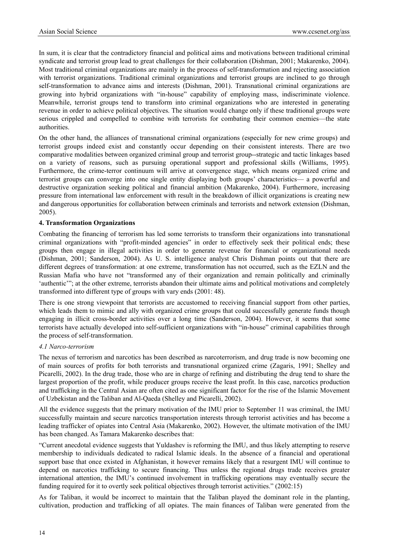In sum, it is clear that the contradictory financial and political aims and motivations between traditional criminal syndicate and terrorist group lead to great challenges for their collaboration (Dishman, 2001; Makarenko, 2004). Most traditional criminal organizations are mainly in the process of self-transformation and rejecting association with terrorist organizations. Traditional criminal organizations and terrorist groups are inclined to go through self-transformation to advance aims and interests (Dishman, 2001). Transnational criminal organizations are growing into hybrid organizations with "in-house" capability of employing mass, indiscriminate violence. Meanwhile, terrorist groups tend to transform into criminal organizations who are interested in generating revenue in order to achieve political objectives. The situation would change only if these traditional groups were serious crippled and compelled to combine with terrorists for combating their common enemies—the state authorities.

On the other hand, the alliances of transnational criminal organizations (especially for new crime groups) and terrorist groups indeed exist and constantly occur depending on their consistent interests. There are two comparative modalities between organized criminal group and terrorist group--strategic and tactic linkages based on a variety of reasons, such as pursuing operational support and professional skills (Williams, 1995). Furthermore, the crime-terror continuum will arrive at convergence stage, which means organized crime and terrorist groups can converge into one single entity displaying both groups' characteristics— a powerful and destructive organization seeking political and financial ambition (Makarenko, 2004). Furthermore, increasing pressure from international law enforcement with result in the breakdown of illicit organizations is creating new and dangerous opportunities for collaboration between criminals and terrorists and network extension (Dishman, 2005).

# **4. Transformation Organizations**

Combating the financing of terrorism has led some terrorists to transform their organizations into transnational criminal organizations with "profit-minded agencies" in order to effectively seek their political ends; these groups then engage in illegal activities in order to generate revenue for financial or organizational needs (Dishman, 2001; Sanderson, 2004). As U. S. intelligence analyst Chris Dishman points out that there are different degrees of transformation: at one extreme, transformation has not occurred, such as the EZLN and the Russian Mafia who have not "transformed any of their organization and remain politically and criminally 'authentic'"; at the other extreme, terrorists abandon their ultimate aims and political motivations and completely transformed into different type of groups with vary ends (2001: 48).

There is one strong viewpoint that terrorists are accustomed to receiving financial support from other parties, which leads them to mimic and ally with organized crime groups that could successfully generate funds though engaging in illicit cross-border activities over a long time (Sanderson, 2004). However, it seems that some terrorists have actually developed into self-sufficient organizations with "in-house" criminal capabilities through the process of self-transformation.

#### *4.1 Narco-terrorism*

The nexus of terrorism and narcotics has been described as narcoterrorism, and drug trade is now becoming one of main sources of profits for both terrorists and transnational organized crime (Zagaris, 1991; Shelley and Picarelli, 2002). In the drug trade, those who are in charge of refining and distributing the drug tend to share the largest proportion of the profit, while producer groups receive the least profit. In this case, narcotics production and trafficking in the Central Asian are often cited as one significant factor for the rise of the Islamic Movement of Uzbekistan and the Taliban and Al-Qaeda (Shelley and Picarelli, 2002).

All the evidence suggests that the primary motivation of the IMU prior to September 11 was criminal, the IMU successfully maintain and secure narcotics transportation interests through terrorist activities and has become a leading trafficker of opiates into Central Asia (Makarenko, 2002). However, the ultimate motivation of the IMU has been changed. As Tamara Makarenko describes that:

"Current anecdotal evidence suggests that Yuldashev is reforming the IMU, and thus likely attempting to reserve membership to individuals dedicated to radical Islamic ideals. In the absence of a financial and operational support base that once existed in Afghanistan, it however remains likely that a resurgent IMU will continue to depend on narcotics trafficking to secure financing. Thus unless the regional drugs trade receives greater international attention, the IMU's continued involvement in trafficking operations may eventually secure the funding required for it to overtly seek political objectives through terrorist activities." (2002:15)

As for Taliban, it would be incorrect to maintain that the Taliban played the dominant role in the planting, cultivation, production and trafficking of all opiates. The main finances of Taliban were generated from the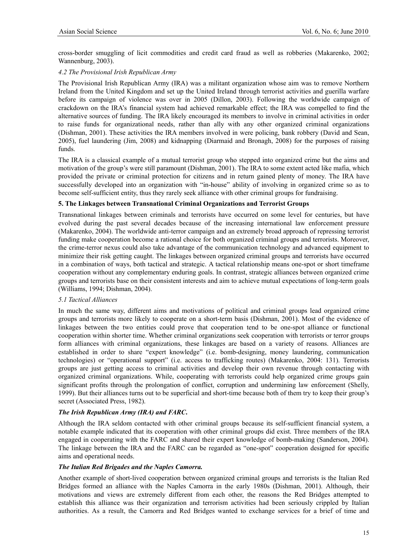cross-border smuggling of licit commodities and credit card fraud as well as robberies (Makarenko, 2002; Wannenburg, 2003).

# *4.2 The Provisional Irish Republican Army*

The Provisional Irish Republican Army (IRA) was a militant organization whose aim was to remove Northern Ireland from the United Kingdom and set up the United Ireland through terrorist activities and guerilla warfare before its campaign of violence was over in 2005 (Dillon, 2003). Following the worldwide campaign of crackdown on the IRA's financial system had achieved remarkable effect; the IRA was compelled to find the alternative sources of funding. The IRA likely encouraged its members to involve in criminal activities in order to raise funds for organizational needs, rather than ally with any other organized criminal organizations (Dishman, 2001). These activities the IRA members involved in were policing, bank robbery (David and Sean, 2005), fuel laundering (Jim, 2008) and kidnapping (Diarmaid and Bronagh, 2008) for the purposes of raising funds.

The IRA is a classical example of a mutual terrorist group who stepped into organized crime but the aims and motivation of the group's were still paramount (Dishman, 2001). The IRA to some extent acted like mafia, which provided the private or criminal protection for citizens and in return gained plenty of money. The IRA have successfully developed into an organization with "in-house" ability of involving in organized crime so as to become self-sufficient entity, thus they rarely seek alliance with other criminal groups for fundraising.

# **5. The Linkages between Transnational Criminal Organizations and Terrorist Groups**

Transnational linkages between criminals and terrorists have occurred on some level for centuries, but have evolved during the past several decades because of the increasing international law enforcement pressure (Makarenko, 2004). The worldwide anti-terror campaign and an extremely broad approach of repressing terrorist funding make cooperation become a rational choice for both organized criminal groups and terrorists. Moreover, the crime-terror nexus could also take advantage of the communication technology and advanced equipment to minimize their risk getting caught. The linkages between organized criminal groups and terrorists have occurred in a combination of ways, both tactical and strategic. A tactical relationship means one-spot or short timeframe cooperation without any complementary enduring goals. In contrast, strategic alliances between organized crime groups and terrorists base on their consistent interests and aim to achieve mutual expectations of long-term goals (Williams, 1994; Dishman, 2004).

#### *5.1 Tactical Alliances*

In much the same way, different aims and motivations of political and criminal groups lead organized crime groups and terrorists more likely to cooperate on a short-term basis (Dishman, 2001). Most of the evidence of linkages between the two entities could prove that cooperation tend to be one-spot alliance or functional cooperation within shorter time. Whether criminal organizations seek cooperation with terrorists or terror groups form alliances with criminal organizations, these linkages are based on a variety of reasons. Alliances are established in order to share "expert knowledge" (i.e. bomb-designing, money laundering, communication technologies) or "operational support" (i.e. access to trafficking routes) (Makarenko, 2004: 131). Terrorists groups are just getting access to criminal activities and develop their own revenue through contacting with organized criminal organizations. While, cooperating with terrorists could help organized crime groups gain significant profits through the prolongation of conflict, corruption and undermining law enforcement (Shelly, 1999). But their alliances turns out to be superficial and short-time because both of them try to keep their group's secret (Associated Press, 1982).

# *The Irish Republican Army (IRA) and FARC***.**

Although the IRA seldom contacted with other criminal groups because its self-sufficient financial system, a notable example indicated that its cooperation with other criminal groups did exist. Three members of the IRA engaged in cooperating with the FARC and shared their expert knowledge of bomb-making (Sanderson, 2004). The linkage between the IRA and the FARC can be regarded as "one-spot" cooperation designed for specific aims and operational needs.

#### *The Italian Red Brigades and the Naples Camorra.*

Another example of short-lived cooperation between organized criminal groups and terrorists is the Italian Red Bridges formed an alliance with the Naples Camorra in the early 1980s (Dishman, 2001). Although, their motivations and views are extremely different from each other, the reasons the Red Bridges attempted to establish this alliance was their organization and terrorism activities had been seriously crippled by Italian authorities. As a result, the Camorra and Red Bridges wanted to exchange services for a brief of time and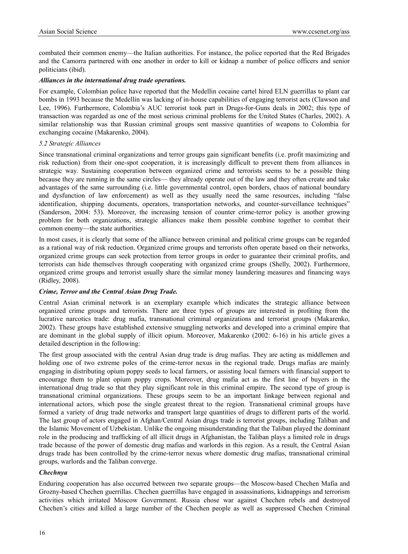combated their common enemy—the Italian authorities. For instance, the police reported that the Red Brigades and the Camorra partnered with one another in order to kill or kidnap a number of police officers and senior politicians (ibid).

#### *Alliances in the international drug trade operations.*

For example, Colombian police have reported that the Medellin cocaine cartel hired ELN guerrillas to plant car bombs in 1993 because the Medellin was lacking of in-house capabilities of engaging terrorist acts (Clawson and Lee, 1996). Furthermore, Colombia's AUC terrorist took part in Drugs-for-Guns deals in 2002; this type of transaction was regarded as one of the most serious criminal problems for the United States (Charles, 2002). A similar relationship was that Russian criminal groups sent massive quantities of weapons to Colombia for exchanging cocaine (Makarenko, 2004).

# *5.2 Strategic Alliances*

Since transnational criminal organizations and terror groups gain significant benefits (i.e. profit maximizing and risk reduction) from their one-spot cooperation, it is increasingly difficult to prevent them from alliances in strategic way. Sustaining cooperation between organized crime and terrorists seems to be a possible thing because they are running in the same circles— they already operate out of the law and they often create and take advantages of the same surrounding (i.e. little governmental control, open borders, chaos of national boundary and dysfunction of law enforcement) as well as they usually need the same resources, including "false identification, shipping documents, operators, transportation networks, and counter-surveillance techniques" (Sanderson, 2004: 53). Moreover, the increasing tension of counter crime-terror policy is another growing problem for both organizations, strategic alliances make them possible combine together to combat their common enemy—the state authorities.

In most cases, it is clearly that some of the alliance between criminal and political crime groups can be regarded as a rational way of risk reduction. Organized crime groups and terrorists often operate based on their networks, organized crime groups can seek protection from terror groups in order to guarantee their criminal profits, and terrorists can hide themselves through cooperating with organized crime groups (Shelly, 2002). Furthermore, organized crime groups and terrorist usually share the similar money laundering measures and financing ways (Ridley, 2008).

# *Crime, Terror and the Central Asian Drug Trade.*

Central Asian criminal network is an exemplary example which indicates the strategic alliance between organized crime groups and terrorists. There are three types of groups are interested in profiting from the lucrative narcotics trade: drug mafia, transnational criminal organizations and terrorist groups (Makarenko, 2002). These groups have established extensive smuggling networks and developed into a criminal empire that are dominant in the global supply of illicit opium. Moreover, Makarenko (2002: 6-16) in his article gives a detailed description in the following:

The first group associated with the central Asian drug trade is drug mafias. They are acting as middlemen and holding one of two extreme poles of the crime-terror nexus in the regional trade. Drugs mafias are mainly engaging in distributing opium poppy seeds to local farmers, or assisting local farmers with financial support to encourage them to plant opium poppy crops. Moreover, drug mafia act as the first line of buyers in the international drug trade so that they play significant role in this criminal empire. The second type of group is transnational criminal organizations. These groups seem to be an important linkage between regional and international actors, which pose the single greatest threat to the region. Transnational criminal groups have formed a variety of drug trade networks and transport large quantities of drugs to different parts of the world. The last group of actors engaged in Afghan/Central Asian drugs trade is terrorist groups, including Taliban and the Islamic Movement of Uzbekistan. Unlike the ongoing misunderstanding that the Taliban played the dominant role in the producing and trafficking of all illicit drugs in Afghanistan, the Taliban plays a limited role in drugs trade because of the power of domestic drug mafias and warlords in this region. As a result, the Central Asian drugs trade has been controlled by the crime-terror nexus where domestic drug mafias, transnational criminal groups, warlords and the Taliban converge.

# *Chechnya*

Enduring cooperation has also occurred between two separate groups—the Moscow-based Chechen Mafia and Grozny-based Chechen guerrillas. Chechen guerrillas have engaged in assassinations, kidnappings and terrorism activities which irritated Moscow Government. Russia chose war against Chechen rebels and destroyed Chechen's cities and killed a large number of the Chechen people as well as suppressed Chechen Criminal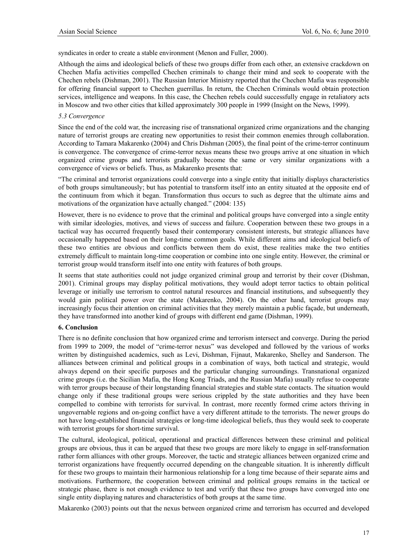syndicates in order to create a stable environment (Menon and Fuller, 2000).

Although the aims and ideological beliefs of these two groups differ from each other, an extensive crackdown on Chechen Mafia activities compelled Chechen criminals to change their mind and seek to cooperate with the Chechen rebels (Dishman, 2001). The Russian Interior Ministry reported that the Chechen Mafia was responsible for offering financial support to Chechen guerrillas. In return, the Chechen Criminals would obtain protection services, intelligence and weapons. In this case, the Chechen rebels could successfully engage in retaliatory acts in Moscow and two other cities that killed approximately 300 people in 1999 (Insight on the News, 1999).

#### *5.3 Convergence*

Since the end of the cold war, the increasing rise of transnational organized crime organizations and the changing nature of terrorist groups are creating new opportunities to resist their common enemies through collaboration. According to Tamara Makarenko (2004) and Chris Dishman (2005), the final point of the crime-terror continuum is convergence. The convergence of crime-terror nexus means these two groups arrive at one situation in which organized crime groups and terrorists gradually become the same or very similar organizations with a convergence of views or beliefs. Thus, as Makarenko presents that:

"The criminal and terrorist organizations could converge into a single entity that initially displays characteristics of both groups simultaneously; but has potential to transform itself into an entity situated at the opposite end of the continuum from which it began. Transformation thus occurs to such as degree that the ultimate aims and motivations of the organization have actually changed." (2004: 135)

However, there is no evidence to prove that the criminal and political groups have converged into a single entity with similar ideologies, motives, and views of success and failure. Cooperation between these two groups in a tactical way has occurred frequently based their contemporary consistent interests, but strategic alliances have occasionally happened based on their long-time common goals. While different aims and ideological beliefs of these two entities are obvious and conflicts between them do exist, these realities make the two entities extremely difficult to maintain long-time cooperation or combine into one single entity. However, the criminal or terrorist group would transform itself into one entity with features of both groups.

It seems that state authorities could not judge organized criminal group and terrorist by their cover (Dishman, 2001). Criminal groups may display political motivations, they would adopt terror tactics to obtain political leverage or initially use terrorism to control natural resources and financial institutions, and subsequently they would gain political power over the state (Makarenko, 2004). On the other hand, terrorist groups may increasingly focus their attention on criminal activities that they merely maintain a public façade, but underneath, they have transformed into another kind of groups with different end game (Dishman, 1999).

# **6. Conclusion**

There is no definite conclusion that how organized crime and terrorism intersect and converge. During the period from 1999 to 2009, the model of "crime-terror nexus" was developed and followed by the various of works written by distinguished academics, such as Levi, Dishman, Fijnaut, Makarenko, Shelley and Sanderson. The alliances between criminal and political groups in a combination of ways, both tactical and strategic, would always depend on their specific purposes and the particular changing surroundings. Transnational organized crime groups (i.e. the Sicilian Mafia, the Hong Kong Triads, and the Russian Mafia) usually refuse to cooperate with terror groups because of their longstanding financial strategies and stable state contacts. The situation would change only if these traditional groups were serious crippled by the state authorities and they have been compelled to combine with terrorists for survival. In contrast, more recently formed crime actors thriving in ungovernable regions and on-going conflict have a very different attitude to the terrorists. The newer groups do not have long-established financial strategies or long-time ideological beliefs, thus they would seek to cooperate with terrorist groups for short-time survival.

The cultural, ideological, political, operational and practical differences between these criminal and political groups are obvious, thus it can be argued that these two groups are more likely to engage in self-transformation rather form alliances with other groups. Moreover, the tactic and strategic alliances between organized crime and terrorist organizations have frequently occurred depending on the changeable situation. It is inherently difficult for these two groups to maintain their harmonious relationship for a long time because of their separate aims and motivations. Furthermore, the cooperation between criminal and political groups remains in the tactical or strategic phase, there is not enough evidence to test and verify that these two groups have converged into one single entity displaying natures and characteristics of both groups at the same time.

Makarenko (2003) points out that the nexus between organized crime and terrorism has occurred and developed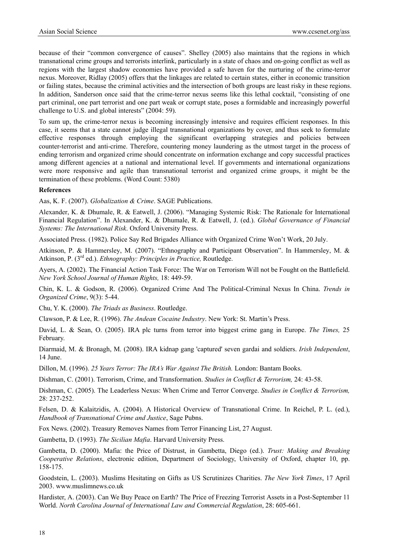because of their "common convergence of causes". Shelley (2005) also maintains that the regions in which transnational crime groups and terrorists interlink, particularly in a state of chaos and on-going conflict as well as regions with the largest shadow economies have provided a safe haven for the nurturing of the crime-terror nexus. Moreover, Ridlay (2005) offers that the linkages are related to certain states, either in economic transition or failing states, because the criminal activities and the intersection of both groups are least risky in these regions. In addition, Sanderson once said that the crime-terror nexus seems like this lethal cocktail, "consisting of one part criminal, one part terrorist and one part weak or corrupt state, poses a formidable and increasingly powerful challenge to U.S. and global interests" (2004: 59).

To sum up, the crime-terror nexus is becoming increasingly intensive and requires efficient responses. In this case, it seems that a state cannot judge illegal transnational organizations by cover, and thus seek to formulate effective responses through employing the significant overlapping strategies and policies between counter-terrorist and anti-crime. Therefore, countering money laundering as the utmost target in the process of ending terrorism and organized crime should concentrate on information exchange and copy successful practices among different agencies at a national and international level. If governments and international organizations were more responsive and agile than transnational terrorist and organized crime groups, it might be the termination of these problems. (Word Count: 5380)

#### **References**

Aas, K. F. (2007). *Globalization & Crime*. SAGE Publications.

Alexander, K. & Dhumale, R. & Eatwell, J. (2006). "Managing Systemic Risk: The Rationale for International Financial Regulation". In Alexander, K. & Dhumale, R. & Eatwell, J. (ed.). *Global Governance of Financial Systems: The International Risk*. Oxford University Press.

Associated Press. (1982). Police Say Red Brigades Alliance with Organized Crime Won't Work, 20 July.

Atkinson, P. & Hammersley, M. (2007). "Ethnography and Participant Observation". In Hammersley, M. & Atkinson, P. (3rd ed.). *Ethnography: Principles in Practice,* Routledge.

Ayers, A. (2002). The Financial Action Task Force: The War on Terrorism Will not be Fought on the Battlefield. *New York School Journal of Human Rights,* 18: 449-59.

Chin, K. L. & Godson, R. (2006). Organized Crime And The Political-Criminal Nexus In China. *Trends in Organized Crime*, 9(3): 5-44.

Chu, Y. K. (2000). *The Triads as Business*. Routledge.

Clawson, P. & Lee, R. (1996). *The Andean Cocaine Industry*. New York: St. Martin's Press.

David, L. & Sean, O. (2005). IRA plc turns from terror into biggest crime gang in Europe. *The Times,* 25 February.

Diarmaid, M. & Bronagh, M. (2008). IRA kidnap gang 'captured' seven gardai and soldiers. *Irish Independent*, 14 June.

Dillon, M. (1996). *25 Years Terror: The IRA's War Against The British.* London: Bantam Books.

Dishman, C. (2001). Terrorism, Crime, and Transformation. *Studies in Conflict & Terrorism,* 24: 43-58.

Dishman, C. (2005). The Leaderless Nexus: When Crime and Terror Converge. *Studies in Conflict & Terrorism,*  28: 237-252.

Felsen, D. & Kalaitzidis, A. (2004). A Historical Overview of Transnational Crime. In Reichel, P. L. (ed.), *Handbook of Transnational Crime and Justice*, Sage Pubns.

Fox News. (2002). Treasury Removes Names from Terror Financing List, 27 August.

Gambetta, D. (1993). *The Sicilian Mafia*. Harvard University Press.

Gambetta, D. (2000). Mafia: the Price of Distrust, in Gambetta, Diego (ed.). *Trust: Making and Breaking Cooperative Relations*, electronic edition, Department of Sociology, University of Oxford, chapter 10, pp. 158-175.

Goodstein, L. (2003). Muslims Hesitating on Gifts as US Scrutinizes Charities. *The New York Times*, 17 April 2003. www.muslimnews.co.uk

Hardister, A. (2003). Can We Buy Peace on Earth? The Price of Freezing Terrorist Assets in a Post-September 11 World. *North Carolina Journal of International Law and Commercial Regulation*, 28: 605-661.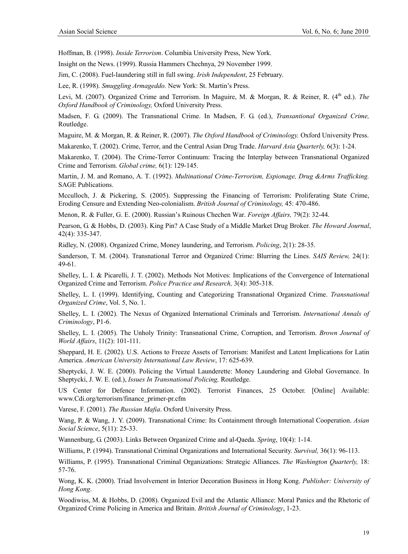Hoffman, B. (1998). *Inside Terrorism*. Columbia University Press, New York.

Insight on the News. (1999). Russia Hammers Chechnya, 29 November 1999.

Jim, C. (2008). Fuel-laundering still in full swing. *Irish Independent*, 25 February.

Lee, R. (1998). *Smuggling Armageddo.* New York: St. Martin's Press.

Levi, M. (2007). Organized Crime and Terrorism. In Maguire, M. & Morgan, R. & Reiner, R. (4<sup>th</sup> ed.). *The Oxford Handbook of Criminology,* Oxford University Press.

Madsen, F. G. (2009). The Transnational Crime. In Madsen, F. G. (ed.), *Transantional Organized Crime,* Routledge.

Maguire, M. & Morgan, R. & Reiner, R. (2007). *The Oxford Handbook of Criminology.* Oxford University Press.

Makarenko, T. (2002). Crime, Terror, and the Central Asian Drug Trade. *Harvard Asia Quarterly,* 6(3): 1-24.

Makarenko, T. (2004). The Crime-Terror Continuum: Tracing the Interplay between Transnational Organized Crime and Terrorism. *Global crime,* 6(1): 129-145.

Martin, J. M. and Romano, A. T. (1992). *Multinational Crime-Terrorism, Espionage, Drug &Arms Trafficking.* SAGE Publications.

Mcculloch, J. & Pickering, S. (2005). Suppressing the Financing of Terrorism: Proliferating State Crime, Eroding Censure and Extending Neo-colonialism. *British Journal of Criminology,* 45: 470-486.

Menon, R. & Fuller, G. E. (2000). Russian's Ruinous Chechen War. *Foreign Affairs,* 79(2): 32-44.

Pearson, G. & Hobbs, D. (2003). King Pin? A Case Study of a Middle Market Drug Broker. *The Howard Journal*, 42(4): 335-347.

Ridley, N. (2008). Organized Crime, Money laundering, and Terrorism. *Policing*, 2(1): 28-35.

Sanderson, T. M. (2004). Transnational Terror and Organized Crime: Blurring the Lines. *SAIS Review,* 24(1): 49-61.

Shelley, L. I. & Picarelli, J. T. (2002). Methods Not Motives: Implications of the Convergence of International Organized Crime and Terrorism. *Police Practice and Research,* 3(4): 305-318.

Shelley, L. I. (1999). Identifying, Counting and Categorizing Transnational Organized Crime. *Transnational Organized Crime*, Vol. 5, No. 1.

Shelley, L. I. (2002). The Nexus of Organized International Criminals and Terrorism. *International Annals of Criminology*, P1-6.

Shelley, L. I. (2005). The Unholy Trinity: Transnational Crime, Corruption, and Terrorism. *Brown Journal of World Affairs*, 11(2): 101-111.

Sheppard, H. E. (2002). U.S. Actions to Freeze Assets of Terrorism: Manifest and Latent Implications for Latin America. *American University International Law Review*, 17: 625-639.

Sheptycki, J. W. E. (2000). Policing the Virtual Launderette: Money Laundering and Global Governance. In Sheptycki, J. W. E. (ed.), *Issues In Transnational Policing,* Routledge.

US Center for Defence Information. (2002). Terrorist Finances, 25 October. [Online] Available: www.Cdi.org/terrorism/finance\_primer-pr.cfm

Varese, F. (2001). *The Russian Mafia*. Oxford University Press.

Wang, P. & Wang, J. Y. (2009). Transnational Crime: Its Containment through International Cooperation. *Asian Social Science*, 5(11): 25-33.

Wannenburg, G. (2003). Links Between Organized Crime and al-Qaeda. *Spring*, 10(4): 1-14.

Williams, P. (1994). Transnational Criminal Organizations and International Security. *Survival,* 36(1): 96-113.

Williams, P. (1995). Transnational Criminal Organizations: Strategic Alliances. *The Washington Quarterly,* 18: 57-76.

Wong, K. K. (2000). Triad Involvement in Interior Decoration Business in Hong Kong. *Publisher: University of Hong Kong*.

Woodiwiss, M. & Hobbs, D. (2008). Organized Evil and the Atlantic Alliance: Moral Panics and the Rhetoric of Organized Crime Policing in America and Britain. *British Journal of Criminology*, 1-23.